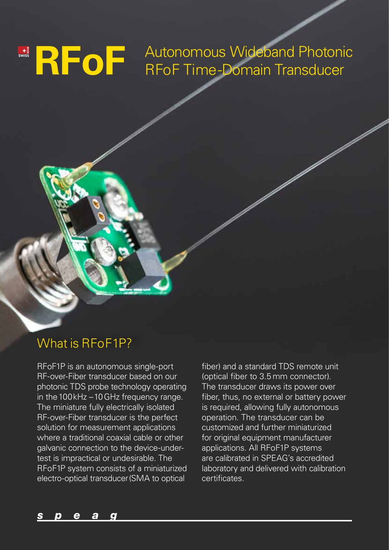## SWISSMAND **CONCLUSION** Autonomous Wideband Photonic RFoF Autonomous Wideband Photon<br>RFoF Time-Domain Transducer

### What is RFoF1P?

RFoF1P is an autonomous single-port RF-over-Fiber transducer based on our photonic TDS probe technology operating in the 100 kHz – 10 GHz frequency range. The miniature fully electrically isolated RF-over-Fiber transducer is the perfect solution for measurement applications where a traditional coaxial cable or other galvanic connection to the device-undertest is impractical or undesirable. The RFoF1P system consists of a miniaturized electro-optical transducer (SMA to optical

fiber) and a standard TDS remote unit (optical fiber to 3.5 mm connector). The transducer draws its power over fiber, thus, no external or battery power is required, allowing fully autonomous operation. The transducer can be customized and further miniaturized for original equipment manufacturer applications. All RFoF1P systems are calibrated in SPEAG's accredited laboratory and delivered with calibration certificates.